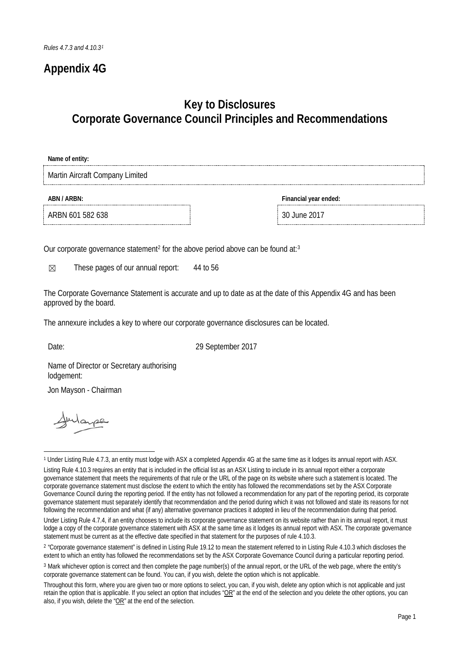## **Appendix 4G**

## **Key to Disclosures Corporate Governance Council Principles and Recommendations**

| Name of entity:                 |                       |
|---------------------------------|-----------------------|
| Martin Aircraft Company Limited |                       |
| ABN / ARBN:                     | Financial year ended: |
| ARBN 601 582 638                | 30 June 2017          |

Our corporate governance statement<sup>[2](#page-0-1)</sup> for the above period above can be found at:<sup>[3](#page-0-2)</sup>

 $\boxtimes$  These pages of our annual report: 44 to 56

The Corporate Governance Statement is accurate and up to date as at the date of this Appendix 4G and has been approved by the board.

The annexure includes a key to where our corporate governance disclosures can be located.

Date: 29 September 2017

Name of Director or Secretary authorising lodgement:

Jon Mayson - Chairman

<span id="page-0-0"></span><sup>1</sup> <sup>1</sup> Under Listing Rule 4.7.3, an entity must lodge with ASX a completed Appendix 4G at the same time as it lodges its annual report with ASX.

Listing Rule 4.10.3 requires an entity that is included in the official list as an ASX Listing to include in its annual report either a corporate governance statement that meets the requirements of that rule or the URL of the page on its website where such a statement is located. The corporate governance statement must disclose the extent to which the entity has followed the recommendations set by the ASX Corporate Governance Council during the reporting period. If the entity has not followed a recommendation for any part of the reporting period, its corporate governance statement must separately identify that recommendation and the period during which it was not followed and state its reasons for not following the recommendation and what (if any) alternative governance practices it adopted in lieu of the recommendation during that period.

Under Listing Rule 4.7.4, if an entity chooses to include its corporate governance statement on its website rather than in its annual report, it must lodge a copy of the corporate governance statement with ASX at the same time as it lodges its annual report with ASX. The corporate governance statement must be current as at the effective date specified in that statement for the purposes of rule 4.10.3.

<span id="page-0-1"></span><sup>&</sup>lt;sup>2</sup> "Corporate governance statement" is defined in Listing Rule 19.12 to mean the statement referred to in Listing Rule 4.10.3 which discloses the extent to which an entity has followed the recommendations set by the ASX Corporate Governance Council during a particular reporting period.

<span id="page-0-2"></span><sup>3</sup> Mark whichever option is correct and then complete the page number(s) of the annual report, or the URL of the web page, where the entity's corporate governance statement can be found. You can, if you wish, delete the option which is not applicable.

Throughout this form, where you are given two or more options to select, you can, if you wish, delete any option which is not applicable and just retain the option that is applicable. If you select an option that includes " $OR$ " at the end of the selection and you delete the other options, you can also, if you wish, delete the " $OR$ " at the end of the selection.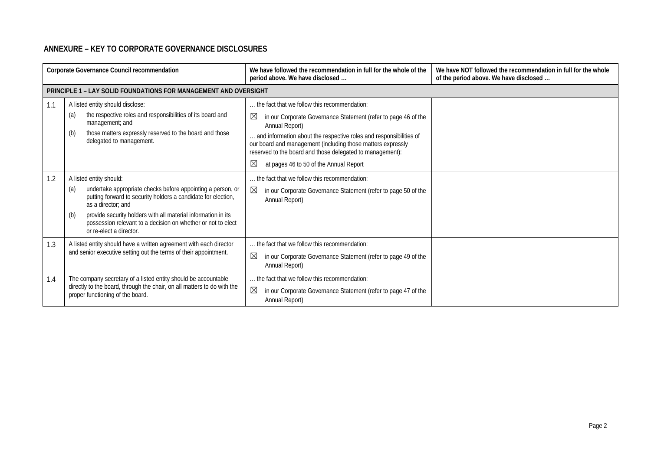## **ANNEXURE – KEY TO CORPORATE GOVERNANCE DISCLOSURES**

|     | Corporate Governance Council recommendation                                                                                                                                                                                                                                                                                                             | We have followed the recommendation in full for the whole of the<br>period above. We have disclosed                                                                                                                                                                                                                                                                                                          | We have NOT followed the recommendation in full for the whole<br>of the period above. We have disclosed |
|-----|---------------------------------------------------------------------------------------------------------------------------------------------------------------------------------------------------------------------------------------------------------------------------------------------------------------------------------------------------------|--------------------------------------------------------------------------------------------------------------------------------------------------------------------------------------------------------------------------------------------------------------------------------------------------------------------------------------------------------------------------------------------------------------|---------------------------------------------------------------------------------------------------------|
|     | <b>PRINCIPLE 1 - LAY SOLID FOUNDATIONS FOR MANAGEMENT AND OVERSIGHT</b>                                                                                                                                                                                                                                                                                 |                                                                                                                                                                                                                                                                                                                                                                                                              |                                                                                                         |
| 1.1 | A listed entity should disclose:<br>the respective roles and responsibilities of its board and<br>(a)<br>management; and<br>those matters expressly reserved to the board and those<br>(b)<br>delegated to management.                                                                                                                                  | the fact that we follow this recommendation:<br>$\boxtimes$<br>in our Corporate Governance Statement (refer to page 46 of the<br>Annual Report)<br>. and information about the respective roles and responsibilities of<br>our board and management (including those matters expressly<br>reserved to the board and those delegated to management):<br>$\boxtimes$<br>at pages 46 to 50 of the Annual Report |                                                                                                         |
| 1.2 | A listed entity should:<br>undertake appropriate checks before appointing a person, or<br>(a)<br>putting forward to security holders a candidate for election,<br>as a director: and<br>provide security holders with all material information in its<br>(b)<br>possession relevant to a decision on whether or not to elect<br>or re-elect a director. | the fact that we follow this recommendation:<br>⊠<br>in our Corporate Governance Statement (refer to page 50 of the<br>Annual Report)                                                                                                                                                                                                                                                                        |                                                                                                         |
| 1.3 | A listed entity should have a written agreement with each director<br>and senior executive setting out the terms of their appointment.                                                                                                                                                                                                                  | the fact that we follow this recommendation:<br>⊠<br>in our Corporate Governance Statement (refer to page 49 of the<br>Annual Report)                                                                                                                                                                                                                                                                        |                                                                                                         |
| 1.4 | The company secretary of a listed entity should be accountable<br>directly to the board, through the chair, on all matters to do with the<br>proper functioning of the board.                                                                                                                                                                           | the fact that we follow this recommendation:<br>⊠<br>in our Corporate Governance Statement (refer to page 47 of the<br>Annual Report)                                                                                                                                                                                                                                                                        |                                                                                                         |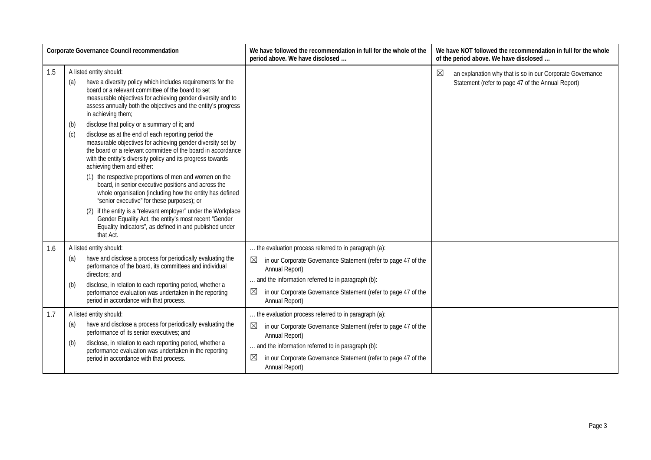|            |                                                                                           | Corporate Governance Council recommendation                                                                                                                                                                                                                                                                                                                                                                                                                                                                                                                                                                                                                                                                                                                                                                                                                                                                                                                                                          | We have followed the recommendation in full for the whole of the<br>period above. We have disclosed                                                                                                                                                                                                                                                                                                                                                      | We have NOT followed the recommendation in full for the whole<br>of the period above. We have disclosed                       |
|------------|-------------------------------------------------------------------------------------------|------------------------------------------------------------------------------------------------------------------------------------------------------------------------------------------------------------------------------------------------------------------------------------------------------------------------------------------------------------------------------------------------------------------------------------------------------------------------------------------------------------------------------------------------------------------------------------------------------------------------------------------------------------------------------------------------------------------------------------------------------------------------------------------------------------------------------------------------------------------------------------------------------------------------------------------------------------------------------------------------------|----------------------------------------------------------------------------------------------------------------------------------------------------------------------------------------------------------------------------------------------------------------------------------------------------------------------------------------------------------------------------------------------------------------------------------------------------------|-------------------------------------------------------------------------------------------------------------------------------|
| 1.5        | A listed entity should:<br>(a)<br>in achieving them;<br>(b)<br>(c)<br>that Act.           | have a diversity policy which includes requirements for the<br>board or a relevant committee of the board to set<br>measurable objectives for achieving gender diversity and to<br>assess annually both the objectives and the entity's progress<br>disclose that policy or a summary of it; and<br>disclose as at the end of each reporting period the<br>measurable objectives for achieving gender diversity set by<br>the board or a relevant committee of the board in accordance<br>with the entity's diversity policy and its progress towards<br>achieving them and either:<br>(1) the respective proportions of men and women on the<br>board, in senior executive positions and across the<br>whole organisation (including how the entity has defined<br>"senior executive" for these purposes); or<br>(2) if the entity is a "relevant employer" under the Workplace<br>Gender Equality Act, the entity's most recent "Gender<br>Equality Indicators", as defined in and published under |                                                                                                                                                                                                                                                                                                                                                                                                                                                          | $\boxtimes$<br>an explanation why that is so in our Corporate Governance<br>Statement (refer to page 47 of the Annual Report) |
| 1.6<br>1.7 | A listed entity should:<br>(a)<br>directors: and<br>(b)<br>A listed entity should:<br>(a) | have and disclose a process for periodically evaluating the<br>performance of the board, its committees and individual<br>disclose, in relation to each reporting period, whether a<br>performance evaluation was undertaken in the reporting<br>period in accordance with that process.<br>have and disclose a process for periodically evaluating the                                                                                                                                                                                                                                                                                                                                                                                                                                                                                                                                                                                                                                              | the evaluation process referred to in paragraph (a):<br>$\boxtimes$<br>in our Corporate Governance Statement (refer to page 47 of the<br>Annual Report)<br>and the information referred to in paragraph (b):<br>$\boxtimes$<br>in our Corporate Governance Statement (refer to page 47 of the<br>Annual Report)<br>the evaluation process referred to in paragraph (a):<br>$\boxtimes$<br>in our Corporate Governance Statement (refer to page 47 of the |                                                                                                                               |
|            | (b)                                                                                       | performance of its senior executives; and<br>disclose, in relation to each reporting period, whether a<br>performance evaluation was undertaken in the reporting<br>period in accordance with that process.                                                                                                                                                                                                                                                                                                                                                                                                                                                                                                                                                                                                                                                                                                                                                                                          | Annual Report)<br>and the information referred to in paragraph (b):<br>$\boxtimes$<br>in our Corporate Governance Statement (refer to page 47 of the<br>Annual Report)                                                                                                                                                                                                                                                                                   |                                                                                                                               |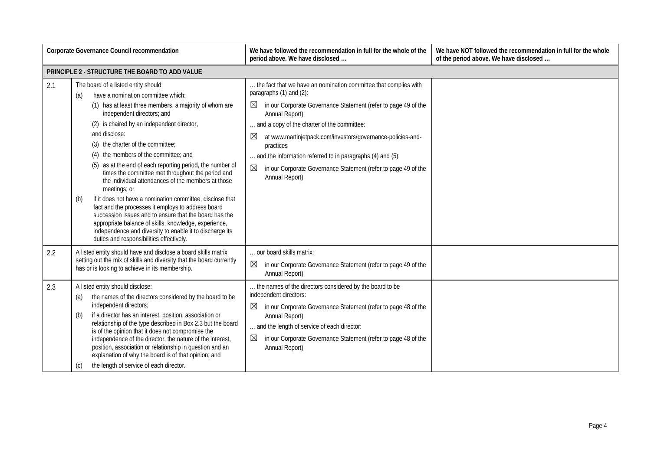|     | <b>Corporate Governance Council recommendation</b>                                                                                                                                                                                                                                                                                                                                                                                                                                                                                                                                                                                                                                                                                                                                                                                                                  | We have followed the recommendation in full for the whole of the<br>period above. We have disclosed                                                                                                                                                                                                                                                                                                                                                                                   | We have NOT followed the recommendation in full for the whole<br>of the period above. We have disclosed |
|-----|---------------------------------------------------------------------------------------------------------------------------------------------------------------------------------------------------------------------------------------------------------------------------------------------------------------------------------------------------------------------------------------------------------------------------------------------------------------------------------------------------------------------------------------------------------------------------------------------------------------------------------------------------------------------------------------------------------------------------------------------------------------------------------------------------------------------------------------------------------------------|---------------------------------------------------------------------------------------------------------------------------------------------------------------------------------------------------------------------------------------------------------------------------------------------------------------------------------------------------------------------------------------------------------------------------------------------------------------------------------------|---------------------------------------------------------------------------------------------------------|
|     | PRINCIPLE 2 - STRUCTURE THE BOARD TO ADD VALUE                                                                                                                                                                                                                                                                                                                                                                                                                                                                                                                                                                                                                                                                                                                                                                                                                      |                                                                                                                                                                                                                                                                                                                                                                                                                                                                                       |                                                                                                         |
| 2.1 | The board of a listed entity should:<br>have a nomination committee which:<br>(a)<br>(1) has at least three members, a majority of whom are<br>independent directors; and<br>(2) is chaired by an independent director,<br>and disclose:<br>(3) the charter of the committee;<br>(4) the members of the committee; and<br>(5) as at the end of each reporting period, the number of<br>times the committee met throughout the period and<br>the individual attendances of the members at those<br>meetings; or<br>if it does not have a nomination committee, disclose that<br>(b)<br>fact and the processes it employs to address board<br>succession issues and to ensure that the board has the<br>appropriate balance of skills, knowledge, experience,<br>independence and diversity to enable it to discharge its<br>duties and responsibilities effectively. | the fact that we have an nomination committee that complies with<br>paragraphs (1) and (2):<br>⊠<br>in our Corporate Governance Statement (refer to page 49 of the<br>Annual Report)<br>and a copy of the charter of the committee:<br>$\boxtimes$<br>at www.martinjetpack.com/investors/governance-policies-and-<br>practices<br>and the information referred to in paragraphs (4) and (5):<br>⊠<br>in our Corporate Governance Statement (refer to page 49 of the<br>Annual Report) |                                                                                                         |
| 2.2 | A listed entity should have and disclose a board skills matrix<br>setting out the mix of skills and diversity that the board currently<br>has or is looking to achieve in its membership.                                                                                                                                                                                                                                                                                                                                                                                                                                                                                                                                                                                                                                                                           | our board skills matrix:<br>⊠<br>in our Corporate Governance Statement (refer to page 49 of the<br>Annual Report)                                                                                                                                                                                                                                                                                                                                                                     |                                                                                                         |
| 2.3 | A listed entity should disclose:<br>the names of the directors considered by the board to be<br>(a)<br>independent directors;<br>if a director has an interest, position, association or<br>(b)<br>relationship of the type described in Box 2.3 but the board<br>is of the opinion that it does not compromise the<br>independence of the director, the nature of the interest,<br>position, association or relationship in question and an<br>explanation of why the board is of that opinion; and<br>the length of service of each director.<br>(c)                                                                                                                                                                                                                                                                                                              | the names of the directors considered by the board to be<br>independent directors:<br>⊠<br>in our Corporate Governance Statement (refer to page 48 of the<br>Annual Report)<br>and the length of service of each director:<br>⊠<br>in our Corporate Governance Statement (refer to page 48 of the<br>Annual Report)                                                                                                                                                                   |                                                                                                         |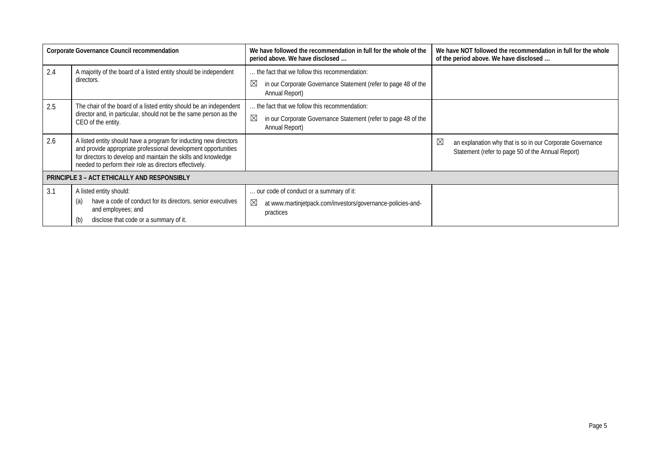|     | Corporate Governance Council recommendation                                                                                                                                                                                                                     | We have followed the recommendation in full for the whole of the<br>period above. We have disclosed                                | We have NOT followed the recommendation in full for the whole<br>of the period above. We have disclosed             |
|-----|-----------------------------------------------------------------------------------------------------------------------------------------------------------------------------------------------------------------------------------------------------------------|------------------------------------------------------------------------------------------------------------------------------------|---------------------------------------------------------------------------------------------------------------------|
| 2.4 | A majority of the board of a listed entity should be independent<br>directors.                                                                                                                                                                                  | the fact that we follow this recommendation:<br>$\boxtimes$<br>in our Corporate Governance Statement (refer to page 48 of the      |                                                                                                                     |
| 2.5 | The chair of the board of a listed entity should be an independent                                                                                                                                                                                              | Annual Report)<br>the fact that we follow this recommendation:                                                                     |                                                                                                                     |
|     | director and, in particular, should not be the same person as the<br>CEO of the entity.                                                                                                                                                                         | ⊠<br>in our Corporate Governance Statement (refer to page 48 of the<br>Annual Report)                                              |                                                                                                                     |
| 2.6 | A listed entity should have a program for inducting new directors<br>and provide appropriate professional development opportunities<br>for directors to develop and maintain the skills and knowledge<br>needed to perform their role as directors effectively. |                                                                                                                                    | ⊠<br>an explanation why that is so in our Corporate Governance<br>Statement (refer to page 50 of the Annual Report) |
|     | <b>PRINCIPLE 3 - ACT ETHICALLY AND RESPONSIBLY</b>                                                                                                                                                                                                              |                                                                                                                                    |                                                                                                                     |
| 3.1 | A listed entity should:<br>have a code of conduct for its directors, senior executives<br>(a)<br>and employees; and<br>disclose that code or a summary of it.<br>(b)                                                                                            | our code of conduct or a summary of it:<br>$\boxtimes$<br>at www.martinjetpack.com/investors/governance-policies-and-<br>practices |                                                                                                                     |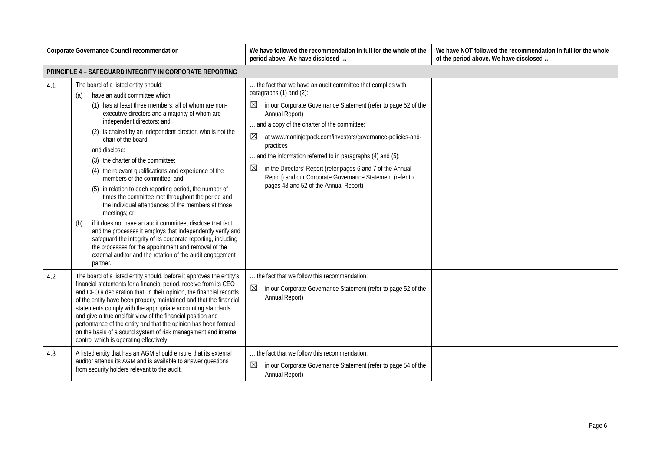|     | Corporate Governance Council recommendation                                                                                                                                                                                                                                                                                                                                                                                                                                                                                                                                                                                                                                                                                                                                                                                                                                                                                                                                          | We have followed the recommendation in full for the whole of the<br>period above. We have disclosed                                                                                                                                                                                                                                                                                                                                                                                                                                                                 | We have NOT followed the recommendation in full for the whole<br>of the period above. We have disclosed |
|-----|--------------------------------------------------------------------------------------------------------------------------------------------------------------------------------------------------------------------------------------------------------------------------------------------------------------------------------------------------------------------------------------------------------------------------------------------------------------------------------------------------------------------------------------------------------------------------------------------------------------------------------------------------------------------------------------------------------------------------------------------------------------------------------------------------------------------------------------------------------------------------------------------------------------------------------------------------------------------------------------|---------------------------------------------------------------------------------------------------------------------------------------------------------------------------------------------------------------------------------------------------------------------------------------------------------------------------------------------------------------------------------------------------------------------------------------------------------------------------------------------------------------------------------------------------------------------|---------------------------------------------------------------------------------------------------------|
|     | PRINCIPLE 4 - SAFEGUARD INTEGRITY IN CORPORATE REPORTING                                                                                                                                                                                                                                                                                                                                                                                                                                                                                                                                                                                                                                                                                                                                                                                                                                                                                                                             |                                                                                                                                                                                                                                                                                                                                                                                                                                                                                                                                                                     |                                                                                                         |
| 4.1 | The board of a listed entity should:<br>have an audit committee which:<br>(a)<br>(1) has at least three members, all of whom are non-<br>executive directors and a majority of whom are<br>independent directors; and<br>(2) is chaired by an independent director, who is not the<br>chair of the board,<br>and disclose:<br>(3) the charter of the committee;<br>(4) the relevant qualifications and experience of the<br>members of the committee: and<br>(5) in relation to each reporting period, the number of<br>times the committee met throughout the period and<br>the individual attendances of the members at those<br>meetings; or<br>if it does not have an audit committee, disclose that fact<br>(b)<br>and the processes it employs that independently verify and<br>safeguard the integrity of its corporate reporting, including<br>the processes for the appointment and removal of the<br>external auditor and the rotation of the audit engagement<br>partner. | the fact that we have an audit committee that complies with<br>paragraphs (1) and (2):<br>in our Corporate Governance Statement (refer to page 52 of the<br>$\bowtie$<br>Annual Report)<br>and a copy of the charter of the committee:<br>$\boxtimes$<br>at www.martinjetpack.com/investors/governance-policies-and-<br>practices<br>and the information referred to in paragraphs (4) and (5):<br>in the Directors' Report (refer pages 6 and 7 of the Annual<br>Report) and our Corporate Governance Statement (refer to<br>pages 48 and 52 of the Annual Report) |                                                                                                         |
| 4.2 | The board of a listed entity should, before it approves the entity's<br>financial statements for a financial period, receive from its CEO<br>and CFO a declaration that, in their opinion, the financial records<br>of the entity have been properly maintained and that the financial<br>statements comply with the appropriate accounting standards<br>and give a true and fair view of the financial position and<br>performance of the entity and that the opinion has been formed<br>on the basis of a sound system of risk management and internal<br>control which is operating effectively.                                                                                                                                                                                                                                                                                                                                                                                  | the fact that we follow this recommendation:<br>in our Corporate Governance Statement (refer to page 52 of the<br>Annual Report)                                                                                                                                                                                                                                                                                                                                                                                                                                    |                                                                                                         |
| 4.3 | A listed entity that has an AGM should ensure that its external<br>auditor attends its AGM and is available to answer questions<br>from security holders relevant to the audit.                                                                                                                                                                                                                                                                                                                                                                                                                                                                                                                                                                                                                                                                                                                                                                                                      | the fact that we follow this recommendation:<br>⊠<br>in our Corporate Governance Statement (refer to page 54 of the<br>Annual Report)                                                                                                                                                                                                                                                                                                                                                                                                                               |                                                                                                         |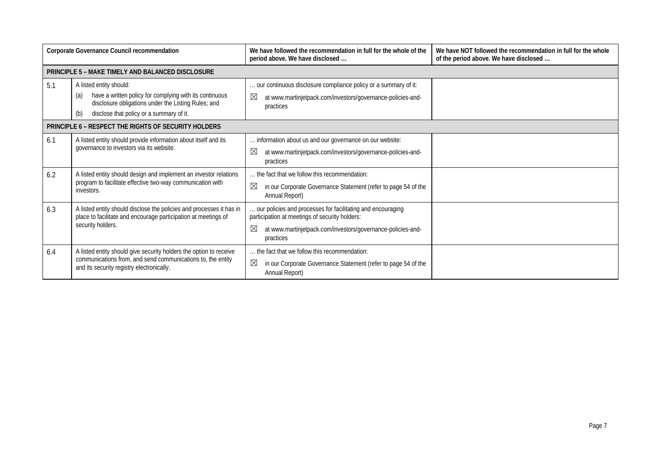| Corporate Governance Council recommendation |                                                                                                                                                                                                     | We have followed the recommendation in full for the whole of the<br>period above. We have disclosed                                                                                            | We have NOT followed the recommendation in full for the whole<br>of the period above. We have disclosed |
|---------------------------------------------|-----------------------------------------------------------------------------------------------------------------------------------------------------------------------------------------------------|------------------------------------------------------------------------------------------------------------------------------------------------------------------------------------------------|---------------------------------------------------------------------------------------------------------|
|                                             | PRINCIPLE 5 - MAKE TIMELY AND BALANCED DISCLOSURE                                                                                                                                                   |                                                                                                                                                                                                |                                                                                                         |
| 5.1                                         | A listed entity should:<br>have a written policy for complying with its continuous<br>(a)<br>disclosure obligations under the Listing Rules; and<br>disclose that policy or a summary of it.<br>(b) | our continuous disclosure compliance policy or a summary of it:<br>⊠<br>at www.martinjetpack.com/investors/governance-policies-and-<br>practices                                               |                                                                                                         |
|                                             | PRINCIPLE 6 - RESPECT THE RIGHTS OF SECURITY HOLDERS                                                                                                                                                |                                                                                                                                                                                                |                                                                                                         |
| 6.1                                         | A listed entity should provide information about itself and its<br>governance to investors via its website.                                                                                         | information about us and our governance on our website:<br>⊠<br>at www.martinjetpack.com/investors/governance-policies-and-<br>practices                                                       |                                                                                                         |
| 6.2                                         | A listed entity should design and implement an investor relations<br>program to facilitate effective two-way communication with<br>investors.                                                       | the fact that we follow this recommendation:<br>$\boxtimes$<br>in our Corporate Governance Statement (refer to page 54 of the<br>Annual Report)                                                |                                                                                                         |
| 6.3                                         | A listed entity should disclose the policies and processes it has in<br>place to facilitate and encourage participation at meetings of<br>security holders.                                         | our policies and processes for facilitating and encouraging<br>participation at meetings of security holders:<br>⊠<br>at www.martinjetpack.com/investors/governance-policies-and-<br>practices |                                                                                                         |
| 6.4                                         | A listed entity should give security holders the option to receive<br>communications from, and send communications to, the entity<br>and its security registry electronically.                      | the fact that we follow this recommendation:<br>$\boxtimes$<br>in our Corporate Governance Statement (refer to page 54 of the<br>Annual Report)                                                |                                                                                                         |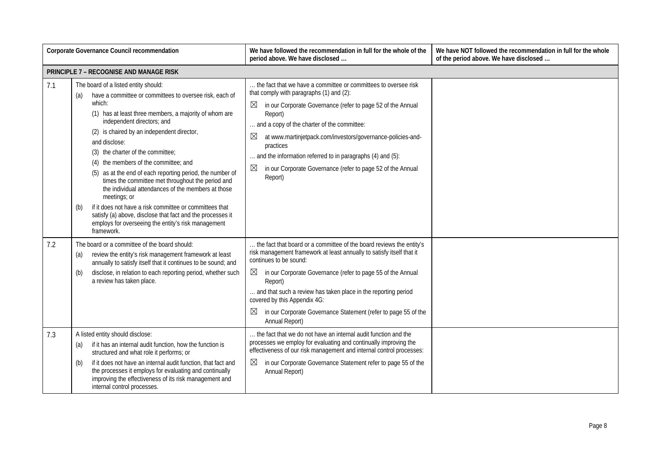|     | Corporate Governance Council recommendation                                                                                                                                                                                                                                                                                                                                                                                                                                                                                                                                                                                                                                                                                                        | We have followed the recommendation in full for the whole of the<br>period above. We have disclosed                                                                                                                                                                                                                                                                                                                                                                                         | We have NOT followed the recommendation in full for the whole<br>of the period above. We have disclosed |
|-----|----------------------------------------------------------------------------------------------------------------------------------------------------------------------------------------------------------------------------------------------------------------------------------------------------------------------------------------------------------------------------------------------------------------------------------------------------------------------------------------------------------------------------------------------------------------------------------------------------------------------------------------------------------------------------------------------------------------------------------------------------|---------------------------------------------------------------------------------------------------------------------------------------------------------------------------------------------------------------------------------------------------------------------------------------------------------------------------------------------------------------------------------------------------------------------------------------------------------------------------------------------|---------------------------------------------------------------------------------------------------------|
|     | <b>PRINCIPLE 7 - RECOGNISE AND MANAGE RISK</b>                                                                                                                                                                                                                                                                                                                                                                                                                                                                                                                                                                                                                                                                                                     |                                                                                                                                                                                                                                                                                                                                                                                                                                                                                             |                                                                                                         |
| 7.1 | The board of a listed entity should:<br>have a committee or committees to oversee risk, each of<br>(a)<br>which:<br>(1) has at least three members, a majority of whom are<br>independent directors; and<br>(2) is chaired by an independent director,<br>and disclose:<br>(3) the charter of the committee;<br>(4) the members of the committee; and<br>(5) as at the end of each reporting period, the number of<br>times the committee met throughout the period and<br>the individual attendances of the members at those<br>meetings; or<br>if it does not have a risk committee or committees that<br>(b)<br>satisfy (a) above, disclose that fact and the processes it<br>employs for overseeing the entity's risk management<br>framework. | the fact that we have a committee or committees to oversee risk<br>that comply with paragraphs (1) and (2):<br>$\boxtimes$<br>in our Corporate Governance (refer to page 52 of the Annual<br>Report)<br>and a copy of the charter of the committee:<br>at www.martinjetpack.com/investors/governance-policies-and-<br>$\boxtimes$<br>practices<br>and the information referred to in paragraphs (4) and (5):<br>⊠<br>in our Corporate Governance (refer to page 52 of the Annual<br>Report) |                                                                                                         |
| 7.2 | The board or a committee of the board should:<br>review the entity's risk management framework at least<br>(a)<br>annually to satisfy itself that it continues to be sound; and<br>disclose, in relation to each reporting period, whether such<br>(b)<br>a review has taken place.                                                                                                                                                                                                                                                                                                                                                                                                                                                                | the fact that board or a committee of the board reviews the entity's<br>risk management framework at least annually to satisfy itself that it<br>continues to be sound:<br>in our Corporate Governance (refer to page 55 of the Annual<br>$\boxtimes$<br>Report)<br>and that such a review has taken place in the reporting period<br>covered by this Appendix 4G:<br>$\boxtimes$<br>in our Corporate Governance Statement (refer to page 55 of the<br>Annual Report)                       |                                                                                                         |
| 7.3 | A listed entity should disclose:<br>if it has an internal audit function, how the function is<br>(a)<br>structured and what role it performs; or<br>if it does not have an internal audit function, that fact and<br>(b)<br>the processes it employs for evaluating and continually<br>improving the effectiveness of its risk management and<br>internal control processes.                                                                                                                                                                                                                                                                                                                                                                       | the fact that we do not have an internal audit function and the<br>processes we employ for evaluating and continually improving the<br>effectiveness of our risk management and internal control processes:<br>$\boxtimes$<br>in our Corporate Governance Statement refer to page 55 of the<br>Annual Report)                                                                                                                                                                               |                                                                                                         |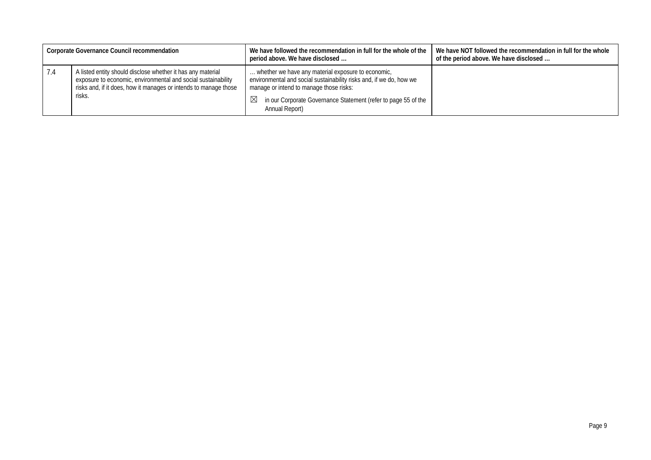|     | Corporate Governance Council recommendation                                                                                                                                                                | We have followed the recommendation in full for the whole of the<br>period above. We have disclosed                                                                                                                                                                   | We have NOT followed the recommendation in full for the whole<br>of the period above. We have disclosed |
|-----|------------------------------------------------------------------------------------------------------------------------------------------------------------------------------------------------------------|-----------------------------------------------------------------------------------------------------------------------------------------------------------------------------------------------------------------------------------------------------------------------|---------------------------------------------------------------------------------------------------------|
| 1.4 | A listed entity should disclose whether it has any material<br>exposure to economic, environmental and social sustainability<br>risks and, if it does, how it manages or intends to manage those<br>risks. | whether we have any material exposure to economic,<br>environmental and social sustainability risks and, if we do, how we<br>manage or intend to manage those risks:<br>in our Corporate Governance Statement (refer to page 55 of the<br>$\bowtie$<br>Annual Report) |                                                                                                         |